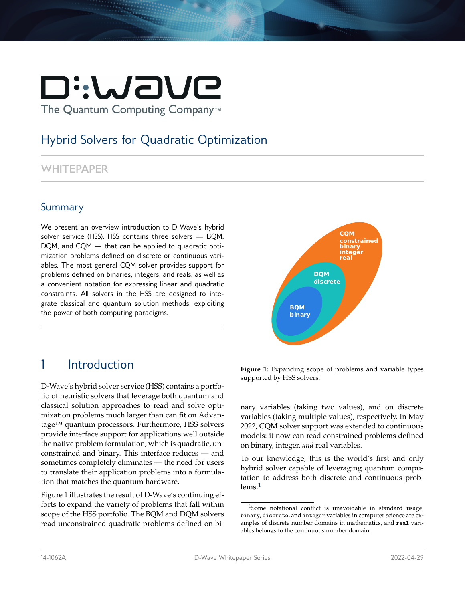# Di:WaVe The Quantum Computing Company<sup>™</sup>

# Hybrid Solvers for Quadratic Optimization

#### **WHITEPAPER**

#### Summary

We present an overview introduction to D-Wave's hybrid solver service (HSS). HSS contains three solvers — BQM, DQM, and CQM — that can be applied to quadratic optimization problems defined on discrete or continuous variables. The most general CQM solver provides support for problems defined on binaries, integers, and reals, as well as a convenient notation for expressing linear and quadratic constraints. All solvers in the HSS are designed to integrate classical and quantum solution methods, exploiting the power of both computing paradigms.



# 1 Introduction

D-Wave's hybrid solver service (HSS) contains a portfolio of heuristic solvers that leverage both quantum and classical solution approaches to read and solve optimization problems much larger than can fit on Advantage™ quantum processors. Furthermore, HSS solvers provide interface support for applications well outside the native problem formulation, which is quadratic, unconstrained and binary. This interface reduces — and sometimes completely eliminates — the need for users to translate their application problems into a formulation that matches the quantum hardware.

Figure 1 illustrates the result of D-Wave's continuing efforts to expand the variety of problems that fall within scope of the HSS portfolio. The BQM and DQM solvers read unconstrained quadratic problems defined on bi-

**Figure 1:** Expanding scope of problems and variable types supported by HSS solvers.

nary variables (taking two values), and on discrete variables (taking multiple values), respectively. In May 2022, CQM solver support was extended to continuous models: it now can read constrained problems defined on binary, integer, *and* real variables.

To our knowledge, this is the world's first and only hybrid solver capable of leveraging quantum computation to address both discrete and continuous prob- $lems.<sup>1</sup>$  $lems.<sup>1</sup>$  $lems.<sup>1</sup>$ 

<span id="page-0-0"></span><sup>1</sup>Some notational conflict is unavoidable in standard usage: binary, discrete, and integer variables in computer science are examples of discrete number domains in mathematics, and real variables belongs to the continuous number domain.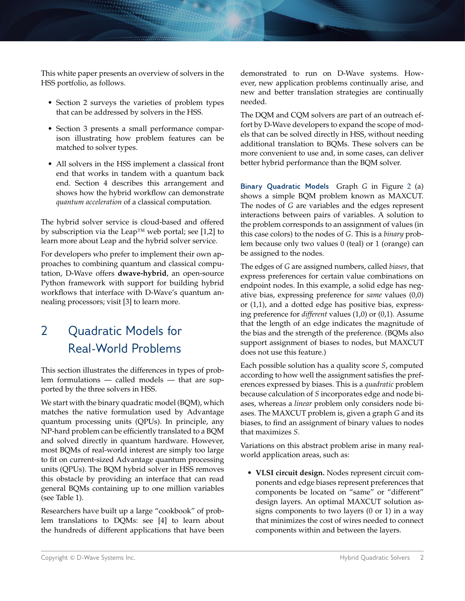This white paper presents an overview of solvers in the HSS portfolio, as follows.

- Section 2 surveys the varieties of problem types that can be addressed by solvers in the HSS.
- Section 3 presents a small performance comparison illustrating how problem features can be matched to solver types.
- All solvers in the HSS implement a classical front end that works in tandem with a quantum back end. Section 4 describes this arrangement and shows how the hybrid workflow can demonstrate *quantum acceleration* of a classical computation.

The hybrid solver service is cloud-based and offered by subscription via the Leap™ web portal; see [1,2] to learn more about Leap and the hybrid solver service.

For developers who prefer to implement their own approaches to combining quantum and classical computation, D-Wave offers **dwave-hybrid**, an open-source Python framework with support for building hybrid workflows that interface with D-Wave's quantum annealing processors; visit [3] to learn more.

# 2 Quadratic Models for Real-World Problems

This section illustrates the differences in types of problem formulations — called models — that are supported by the three solvers in HSS.

We start with the binary quadratic model (BQM), which matches the native formulation used by Advantage quantum processing units (QPUs). In principle, any NP-hard problem can be efficiently translated to a BQM and solved directly in quantum hardware. However, most BQMs of real-world interest are simply too large to fit on current-sized Advantage quantum processing units (QPUs). The BQM hybrid solver in HSS removes this obstacle by providing an interface that can read general BQMs containing up to one million variables (see Table 1).

Researchers have built up a large "cookbook" of problem translations to DQMs: see [4] to learn about the hundreds of different applications that have been demonstrated to run on D-Wave systems. However, new application problems continually arise, and new and better translation strategies are continually needed.

The DQM and CQM solvers are part of an outreach effort by D-Wave developers to expand the scope of models that can be solved directly in HSS, without needing additional translation to BQMs. These solvers can be more convenient to use and, in some cases, can deliver better hybrid performance than the BQM solver.

**Binary Quadratic Models** Graph *G* in Figure [2](#page-2-0) (a) shows a simple BQM problem known as MAXCUT. The nodes of *G* are variables and the edges represent interactions between pairs of variables. A solution to the problem corresponds to an assignment of values (in this case colors) to the nodes of *G*. This is a *binary* problem because only two values 0 (teal) or 1 (orange) can be assigned to the nodes.

The edges of *G* are assigned numbers, called *biases*, that express preferences for certain value combinations on endpoint nodes. In this example, a solid edge has negative bias, expressing preference for *same* values (0,0) or (1,1), and a dotted edge has positive bias, expressing preference for *different* values (1,0) or (0,1). Assume that the length of an edge indicates the magnitude of the bias and the strength of the preference. (BQMs also support assignment of biases to nodes, but MAXCUT does not use this feature.)

Each possible solution has a quality score *S*, computed according to how well the assignment satisfies the preferences expressed by biases. This is a *quadratic* problem because calculation of *S* incorporates edge and node biases, whereas a *linear* problem only considers node biases. The MAXCUT problem is, given a graph *G* and its biases, to find an assignment of binary values to nodes that maximizes *S*.

Variations on this abstract problem arise in many realworld application areas, such as:

• **VLSI circuit design.** Nodes represent circuit components and edge biases represent preferences that components be located on "same" or "different" design layers. An optimal MAXCUT solution assigns components to two layers (0 or 1) in a way that minimizes the cost of wires needed to connect components within and between the layers.

Copyright © D-Wave Systems Inc. Notice that the control of the control of the control of the control of the control of the control of the control of the control of the control of the control of the control of the control o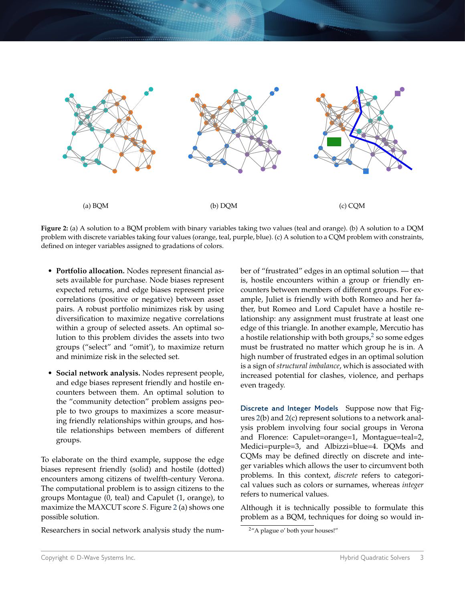<span id="page-2-0"></span>

**Figure 2:** (a) A solution to a BQM problem with binary variables taking two values (teal and orange). (b) A solution to a DQM problem with discrete variables taking four values (orange, teal, purple, blue). (c) A solution to a CQM problem with constraints, defined on integer variables assigned to gradations of colors.

- **Portfolio allocation.** Nodes represent financial assets available for purchase. Node biases represent expected returns, and edge biases represent price correlations (positive or negative) between asset pairs. A robust portfolio minimizes risk by using diversification to maximize negative correlations within a group of selected assets. An optimal solution to this problem divides the assets into two groups ("select" and "omit'), to maximize return and minimize risk in the selected set.
- **Social network analysis.** Nodes represent people, and edge biases represent friendly and hostile encounters between them. An optimal solution to the "community detection" problem assigns people to two groups to maximizes a score measuring friendly relationships within groups, and hostile relationships between members of different groups.

To elaborate on the third example, suppose the edge biases represent friendly (solid) and hostile (dotted) encounters among citizens of twelfth-century Verona. The computational problem is to assign citizens to the groups Montague (0, teal) and Capulet (1, orange), to maximize the MAXCUT score *S*. Figure [2](#page-2-0) (a) shows one possible solution.

Researchers in social network analysis study the num-

ber of "frustrated" edges in an optimal solution — that is, hostile encounters within a group or friendly encounters between members of different groups. For example, Juliet is friendly with both Romeo and her father, but Romeo and Lord Capulet have a hostile relationship: any assignment must frustrate at least one edge of this triangle. In another example, Mercutio has a hostile relationship with both groups, $^2$  $^2$  so some edges must be frustrated no matter which group he is in. A high number of frustrated edges in an optimal solution is a sign of *structural imbalance*, which is associated with increased potential for clashes, violence, and perhaps even tragedy.

**Discrete and Integer Models** Suppose now that Figures [2\(](#page-2-0)b) and [2\(](#page-2-0)c) represent solutions to a network analysis problem involving four social groups in Verona and Florence: Capulet=orange=1, Montague=teal=2, Medici=purple=3, and Albizzi=blue=4. DQMs and CQMs may be defined directly on discrete and integer variables which allows the user to circumvent both problems. In this context, *discrete* refers to categorical values such as colors or surnames, whereas *integer* refers to numerical values.

Although it is technically possible to formulate this problem as a BQM, techniques for doing so would in-

<span id="page-2-1"></span><sup>&</sup>lt;sup>2</sup>"A plague o' both your houses!"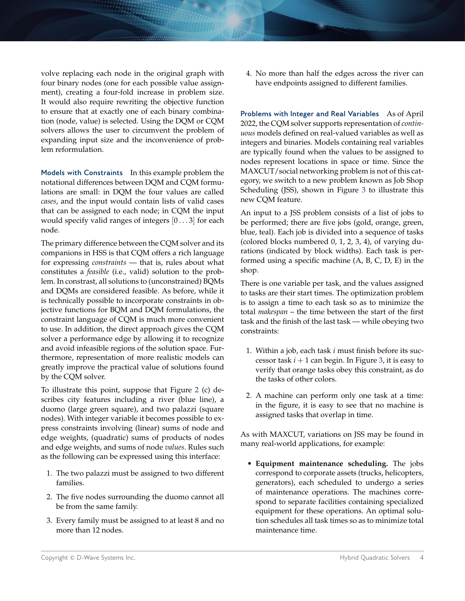volve replacing each node in the original graph with four binary nodes (one for each possible value assignment), creating a four-fold increase in problem size. It would also require rewriting the objective function to ensure that at exactly one of each binary combination (node, value) is selected. Using the DQM or CQM solvers allows the user to circumvent the problem of expanding input size and the inconvenience of problem reformulation.

**Models with Constraints** In this example problem the notational differences between DQM and CQM formulations are small: in DQM the four values are called *cases*, and the input would contain lists of valid cases that can be assigned to each node; in CQM the input would specify valid ranges of integers [0 . . . 3] for each node.

The primary difference between the CQM solver and its companions in HSS is that CQM offers a rich language for expressing *constraints* — that is, rules about what constitutes a *feasible* (i.e., valid) solution to the problem. In constrast, all solutions to (unconstrained) BQMs and DQMs are considered feasible. As before, while it is technically possible to incorporate constraints in objective functions for BQM and DQM formulations, the constraint language of CQM is much more convenient to use. In addition, the direct approach gives the CQM solver a performance edge by allowing it to recognize and avoid infeasible regions of the solution space. Furthermore, representation of more realistic models can greatly improve the practical value of solutions found by the CQM solver.

To illustrate this point, suppose that Figure [2](#page-2-0) (c) describes city features including a river (blue line), a duomo (large green square), and two palazzi (square nodes). With integer variable it becomes possible to express constraints involving (linear) sums of node and edge weights, (quadratic) sums of products of nodes and edge weights, and sums of node *values*. Rules such as the following can be expressed using this interface:

- 1. The two palazzi must be assigned to two different families.
- 2. The five nodes surrounding the duomo cannot all be from the same family.
- 3. Every family must be assigned to at least 8 and no more than 12 nodes.

4. No more than half the edges across the river can have endpoints assigned to different families.

**Problems with Integer and Real Variables** As of April 2022, the CQM solver supports representation of *continuous* models defined on real-valued variables as well as integers and binaries. Models containing real variables are typically found when the values to be assigned to nodes represent locations in space or time. Since the MAXCUT/social networking problem is not of this category, we switch to a new problem known as Job Shop Scheduling (JSS), shown in Figure [3](#page-4-0) to illustrate this new CQM feature.

An input to a JSS problem consists of a list of jobs to be performed; there are five jobs (gold, orange, green, blue, teal). Each job is divided into a sequence of tasks (colored blocks numbered 0, 1, 2, 3, 4), of varying durations (indicated by block widths). Each task is performed using a specific machine (A, B, C, D, E) in the shop.

There is one variable per task, and the values assigned to tasks are their start times. The optimization problem is to assign a time to each task so as to minimize the total *makespan* – the time between the start of the first task and the finish of the last task — while obeying two constraints:

- 1. Within a job, each task *i* must finish before its successor task  $i + 1$  can begin. In Figure [3,](#page-4-0) it is easy to verify that orange tasks obey this constraint, as do the tasks of other colors.
- 2. A machine can perform only one task at a time: in the figure, it is easy to see that no machine is assigned tasks that overlap in time.

As with MAXCUT, variations on JSS may be found in many real-world applications, for example:

• **Equipment maintenance scheduling.** The jobs correspond to corporate assets (trucks, helicopters, generators), each scheduled to undergo a series of maintenance operations. The machines correspond to separate facilities containing specialized equipment for these operations. An optimal solution schedules all task times so as to minimize total maintenance time.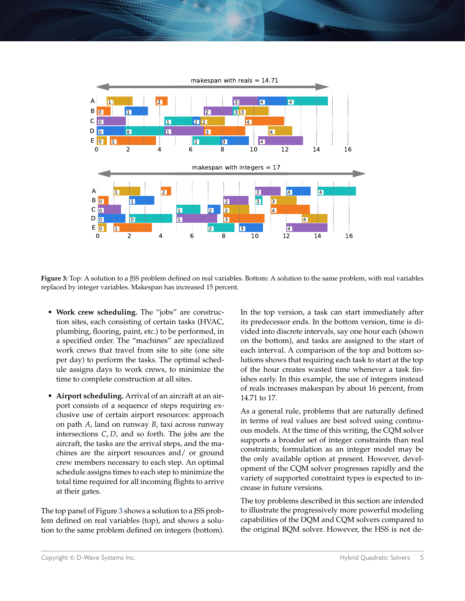<span id="page-4-0"></span>

**Figure 3:** Top: A solution to a JSS problem defined on real variables. Bottom: A solution to the same problem, with real variables replaced by integer variables. Makespan has increased 15 percent.

- **Work crew scheduling.** The "jobs" are construction sites, each consisting of certain tasks (HVAC, plumbing, flooring, paint, etc.) to be performed, in a specified order. The "machines" are specialized work crews that travel from site to site (one site per day) to perform the tasks. The optimal schedule assigns days to work crews, to minimize the time to complete construction at all sites.
- **Airport scheduling.** Arrival of an aircraft at an airport consists of a sequence of steps requiring exclusive use of certain airport resources: approach on path *A*, land on runway *B*, taxi across runway intersections *C*, *D*, and so forth. The jobs are the aircraft, the tasks are the arrival steps, and the machines are the airport resources and/ or ground crew members necessary to each step. An optimal schedule assigns times to each step to minimize the total time required for all incoming flights to arrive at their gates.

The top panel of Figure [3](#page-4-0) shows a solution to a JSS problem defined on real variables (top), and shows a solution to the same problem defined on integers (bottom).

In the top version, a task can start immediately after its predecessor ends. In the bottom version, time is divided into discrete intervals, say one hour each (shown on the bottom), and tasks are assigned to the start of each interval. A comparison of the top and bottom solutions shows that requiring each task to start at the top of the hour creates wasted time whenever a task finishes early. In this example, the use of integers instead of reals increases makespan by about 16 percent, from 14.71 to 17.

As a general rule, problems that are naturally defined in terms of real values are best solved using continuous models. At the time of this writing, the CQM solver supports a broader set of integer constraints than real constraints; formulation as an integer model may be the only available option at present. However, development of the CQM solver progresses rapidly and the variety of supported constraint types is expected to increase in future versions.

The toy problems described in this section are intended to illustrate the progressively more powerful modeling capabilities of the DQM and CQM solvers compared to the original BQM solver. However, the HSS is not de-

Copyright © D-Wave Systems Inc. The Contract of the Contract of the Contract of Hybrid Quadratic Solvers 5 and Hybrid Quadratic Solvers 5 and Hybrid Quadratic Solvers 5 and Hybrid Quadratic Solvers 5 and Hybrid Quadratic S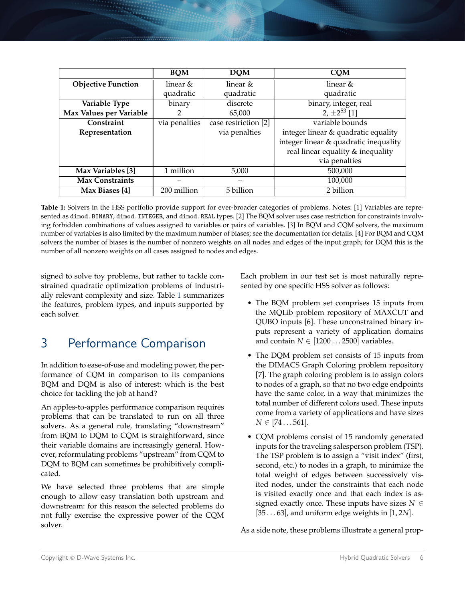<span id="page-5-0"></span>

|                           | <b>BOM</b>    | <b>DOM</b>           | <b>CQM</b>                            |
|---------------------------|---------------|----------------------|---------------------------------------|
| <b>Objective Function</b> | linear &      | linear &             | linear $&$                            |
|                           | quadratic     | quadratic            | quadratic                             |
| Variable Type             | binary        | discrete             | binary, integer, real                 |
| Max Values per Variable   | 2             | 65,000               | 2, $\pm 2^{53}$ [1]                   |
| Constraint                | via penalties | case restriction [2] | variable bounds                       |
| Representation            |               | via penalties        | integer linear & quadratic equality   |
|                           |               |                      | integer linear & quadratic inequality |
|                           |               |                      | real linear equality & inequality     |
|                           |               |                      | via penalties                         |
| Max Variables [3]         | 1 million     | 5,000                | 500,000                               |
| <b>Max Constraints</b>    |               |                      | 100,000                               |
| Max Biases [4]            | 200 million   | 5 billion            | 2 billion                             |

**Table 1:** Solvers in the HSS portfolio provide support for ever-broader categories of problems. Notes: [1] Variables are represented as dimod.BINARY, dimod.INTEGER, and dimod.REAL types. [2] The BQM solver uses case restriction for constraints involving forbidden combinations of values assigned to variables or pairs of variables. [3] In BQM and CQM solvers, the maximum number of variables is also limited by the maximum number of biases; see the documentation for details. [4] For BQM and CQM solvers the number of biases is the number of nonzero weights on all nodes and edges of the input graph; for DQM this is the number of all nonzero weights on all cases assigned to nodes and edges.

signed to solve toy problems, but rather to tackle constrained quadratic optimization problems of industrially relevant complexity and size. Table [1](#page-5-0) summarizes the features, problem types, and inputs supported by each solver.

# 3 Performance Comparison

In addition to ease-of-use and modeling power, the performance of CQM in comparison to its companions BQM and DQM is also of interest: which is the best choice for tackling the job at hand?

An apples-to-apples performance comparison requires problems that can be translated to run on all three solvers. As a general rule, translating "downstream" from BQM to DQM to CQM is straightforward, since their variable domains are increasingly general. However, reformulating problems "upstream" from CQM to DQM to BQM can sometimes be prohibitively complicated.

We have selected three problems that are simple enough to allow easy translation both upstream and downstream: for this reason the selected problems do not fully exercise the expressive power of the CQM solver.

Each problem in our test set is most naturally represented by one specific HSS solver as follows:

- The BQM problem set comprises 15 inputs from the MQLib problem repository of MAXCUT and QUBO inputs [6]. These unconstrained binary inputs represent a variety of application domains and contain  $N \in [1200 \dots 2500]$  variables.
- The DQM problem set consists of 15 inputs from the DIMACS Graph Coloring problem repository [7]. The graph coloring problem is to assign colors to nodes of a graph, so that no two edge endpoints have the same color, in a way that minimizes the total number of different colors used. These inputs come from a variety of applications and have sizes  $N \in [74...561].$
- CQM problems consist of 15 randomly generated inputs for the traveling salesperson problem (TSP). The TSP problem is to assign a "visit index" (first, second, etc.) to nodes in a graph, to minimize the total weight of edges between successively visited nodes, under the constraints that each node is visited exactly once and that each index is assigned exactly once. These inputs have sizes  $N \in$ [35 . . . 63], and uniform edge weights in [1, 2*N*].

As a side note, these problems illustrate a general prop-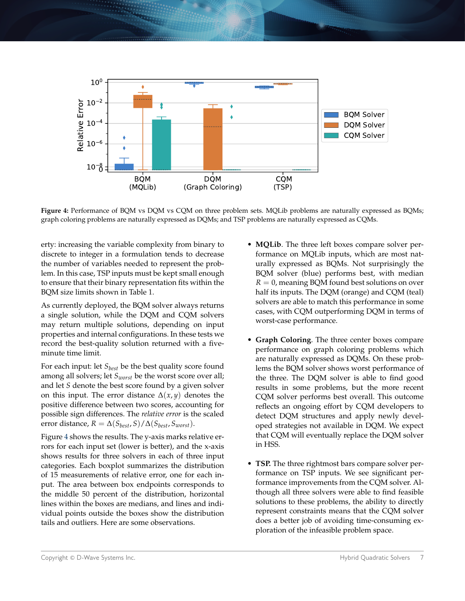<span id="page-6-0"></span>

**Figure 4:** Performance of BQM vs DQM vs CQM on three problem sets. MQLib problems are naturally expressed as BQMs; graph coloring problems are naturally expressed as DQMs; and TSP problems are naturally expressed as CQMs.

erty: increasing the variable complexity from binary to discrete to integer in a formulation tends to decrease the number of variables needed to represent the problem. In this case, TSP inputs must be kept small enough to ensure that their binary representation fits within the BQM size limits shown in Table 1.

As currently deployed, the BQM solver always returns a single solution, while the DQM and CQM solvers may return multiple solutions, depending on input properties and internal configurations. In these tests we record the best-quality solution returned with a fiveminute time limit.

For each input: let *Sbest* be the best quality score found among all solvers; let *Sworst* be the worst score over all; and let *S* denote the best score found by a given solver on this input. The error distance  $\Delta(x, y)$  denotes the positive difference between two scores, accounting for possible sign differences. The *relative error* is the scaled error distance,  $R = \Delta(S_{best}, S) / \Delta(S_{best}, S_{worst}).$ 

Figure [4](#page-6-0) shows the results. The y-axis marks relative errors for each input set (lower is better), and the x-axis shows results for three solvers in each of three input categories. Each boxplot summarizes the distribution of 15 measurements of relative error, one for each input. The area between box endpoints corresponds to the middle 50 percent of the distribution, horizontal lines within the boxes are medians, and lines and individual points outside the boxes show the distribution tails and outliers. Here are some observations.

- **MQLib**. The three left boxes compare solver performance on MQLib inputs, which are most naturally expressed as BQMs. Not surprisingly the BQM solver (blue) performs best, with median  $R = 0$ , meaning BQM found best solutions on over half its inputs. The DQM (orange) and CQM (teal) solvers are able to match this performance in some cases, with CQM outperforming DQM in terms of worst-case performance.
- **Graph Coloring**. The three center boxes compare performance on graph coloring problems which are naturally expressed as DQMs. On these problems the BQM solver shows worst performance of the three. The DQM solver is able to find good results in some problems, but the more recent CQM solver performs best overall. This outcome reflects an ongoing effort by CQM developers to detect DQM structures and apply newly developed strategies not available in DQM. We expect that CQM will eventually replace the DQM solver in HSS.
- **TSP.** The three rightmost bars compare solver performance on TSP inputs. We see significant performance improvements from the CQM solver. Although all three solvers were able to find feasible solutions to these problems, the ability to directly represent constraints means that the CQM solver does a better job of avoiding time-consuming exploration of the infeasible problem space.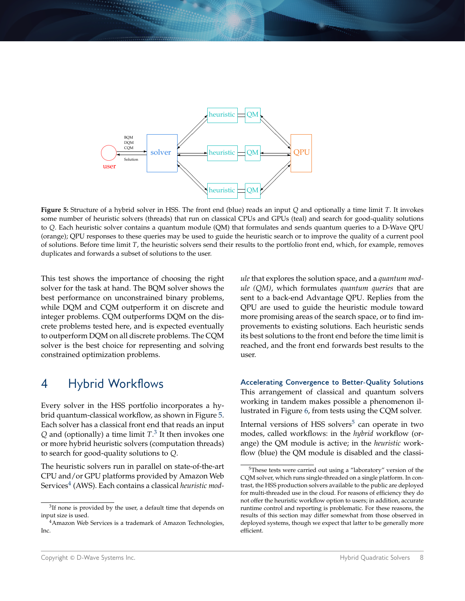<span id="page-7-0"></span>

**Figure 5:** Structure of a hybrid solver in HSS. The front end (blue) reads an input *Q* and optionally a time limit *T*. It invokes some number of heuristic solvers (threads) that run on classical CPUs and GPUs (teal) and search for good-quality solutions to *Q*. Each heuristic solver contains a quantum module (QM) that formulates and sends quantum queries to a D-Wave QPU (orange); QPU responses to these queries may be used to guide the heuristic search or to improve the quality of a current pool of solutions. Before time limit *T*, the heuristic solvers send their results to the portfolio front end, which, for example, removes duplicates and forwards a subset of solutions to the user.

This test shows the importance of choosing the right solver for the task at hand. The BQM solver shows the best performance on unconstrained binary problems, while DQM and CQM outperform it on discrete and integer problems. CQM outperforms DQM on the discrete problems tested here, and is expected eventually to outperform DQM on all discrete problems. The CQM solver is the best choice for representing and solving constrained optimization problems.

### 4 Hybrid Workflows

Every solver in the HSS portfolio incorporates a hybrid quantum-classical workflow, as shown in Figure [5.](#page-7-0) Each solver has a classical front end that reads an input *Q* and (optionally) a time limit *T*. [3](#page-7-1) It then invokes one or more hybrid heuristic solvers (computation threads) to search for good-quality solutions to *Q*.

The heuristic solvers run in parallel on state-of-the-art CPU and/or GPU platforms provided by Amazon Web Services[4](#page-7-2) (AWS). Each contains a classical *heuristic mod-* *ule* that explores the solution space, and a *quantum module (QM)*, which formulates *quantum queries* that are sent to a back-end Advantage QPU. Replies from the QPU are used to guide the heuristic module toward more promising areas of the search space, or to find improvements to existing solutions. Each heuristic sends its best solutions to the front end before the time limit is reached, and the front end forwards best results to the user.

**Accelerating Convergence to Better-Quality Solutions** This arrangement of classical and quantum solvers working in tandem makes possible a phenomenon illustrated in Figure [6,](#page-8-0) from tests using the CQM solver.

Internal versions of HSS solvers $5$  can operate in two modes, called workflows: in the *hybrid* workflow (orange) the QM module is active; in the *heuristic* workflow (blue) the QM module is disabled and the classi-

<span id="page-7-1"></span> $3$ If none is provided by the user, a default time that depends on input size is used.

<span id="page-7-2"></span><sup>4</sup>Amazon Web Services is a trademark of Amazon Technologies, Inc.

<span id="page-7-3"></span><sup>&</sup>lt;sup>5</sup>These tests were carried out using a "laboratory" version of the CQM solver, which runs single-threaded on a single platform. In contrast, the HSS production solvers available to the public are deployed for multi-threaded use in the cloud. For reasons of efficiency they do not offer the heuristic workflow option to users; in addition, accurate runtime control and reporting is problematic. For these reasons, the results of this section may differ somewhat from those observed in deployed systems, though we expect that latter to be generally more efficient.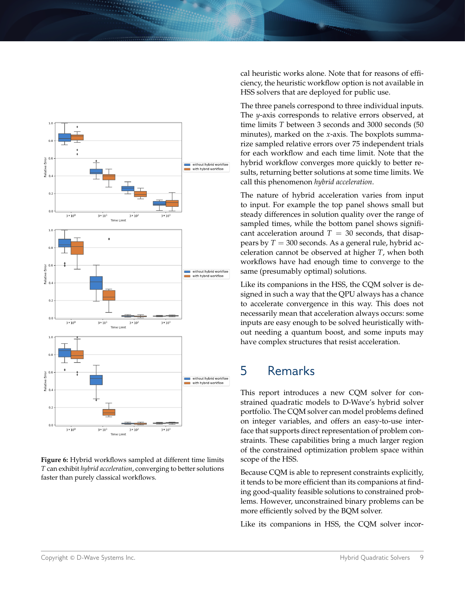<span id="page-8-0"></span>

**Figure 6:** Hybrid workflows sampled at different time limits *T* can exhibit *hybrid acceleration*, converging to better solutions faster than purely classical workflows.

cal heuristic works alone. Note that for reasons of efficiency, the heuristic workflow option is not available in HSS solvers that are deployed for public use.

The three panels correspond to three individual inputs. The *y*-axis corresponds to relative errors observed, at time limits *T* between 3 seconds and 3000 seconds (50 minutes), marked on the *x*-axis. The boxplots summarize sampled relative errors over 75 independent trials for each workflow and each time limit. Note that the hybrid workflow converges more quickly to better results, returning better solutions at some time limits. We call this phenomenon *hybrid acceleration*.

The nature of hybrid acceleration varies from input to input. For example the top panel shows small but steady differences in solution quality over the range of sampled times, while the bottom panel shows significant acceleration around  $T = 30$  seconds, that disappears by  $T = 300$  seconds. As a general rule, hybrid acceleration cannot be observed at higher *T*, when both workflows have had enough time to converge to the same (presumably optimal) solutions.

Like its companions in the HSS, the CQM solver is designed in such a way that the QPU always has a chance to accelerate convergence in this way. This does not necessarily mean that acceleration always occurs: some inputs are easy enough to be solved heuristically without needing a quantum boost, and some inputs may have complex structures that resist acceleration.

# 5 Remarks

This report introduces a new CQM solver for constrained quadratic models to D-Wave's hybrid solver portfolio. The CQM solver can model problems defined on integer variables, and offers an easy-to-use interface that supports direct representation of problem constraints. These capabilities bring a much larger region of the constrained optimization problem space within scope of the HSS.

Because CQM is able to represent constraints explicitly, it tends to be more efficient than its companions at finding good-quality feasible solutions to constrained problems. However, unconstrained binary problems can be more efficiently solved by the BQM solver.

Like its companions in HSS, the CQM solver incor-